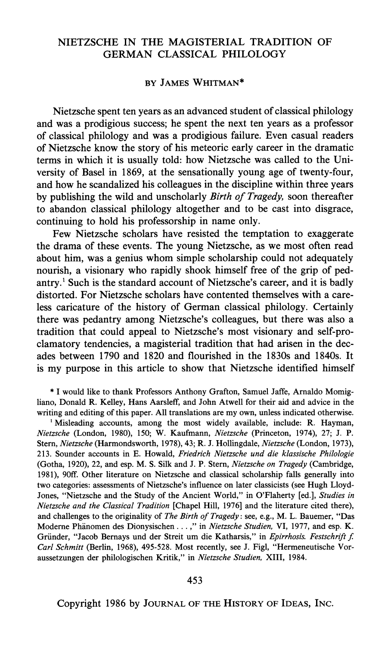## **NIETZSCHE IN THE MAGISTERIAL TRADITION OF GERMAN CLASSICAL PHILOLOGY**

## **BY JAMES WHITMAN\***

**Nietzsche spent ten years as an advanced student of classical philology and was a prodigious success; he spent the next ten years as a professor of classical philology and was a prodigious failure. Even casual readers of Nietzsche know the story of his meteoric early career in the dramatic terms in which it is usually told: how Nietzsche was called to the University of Basel in 1869, at the sensationally young age of twenty-four, and how he scandalized his colleagues in the discipline within three years by publishing the wild and unscholarly Birth of Tragedy, soon thereafter to abandon classical philology altogether and to be cast into disgrace, continuing to hold his professorship in name only.** 

**Few Nietzsche scholars have resisted the temptation to exaggerate the drama of these events. The young Nietzsche, as we most often read about him, was a genius whom simple scholarship could not adequately nourish, a visionary who rapidly shook himself free of the grip of pedantry.' Such is the standard account of Nietzsche's career, and it is badly distorted. For Nietzsche scholars have contented themselves with a careless caricature of the history of German classical philology. Certainly there was pedantry among Nietzsche's colleagues, but there was also a tradition that could appeal to Nietzsche's most visionary and self-proclamatory tendencies, a magisterial tradition that had arisen in the decades between 1790 and 1820 and flourished in the 1830s and 1840s. It is my purpose in this article to show that Nietzsche identified himself** 

**\* I would like to thank Professors Anthony Grafton, Samuel Jaffe, Arnaldo Momigliano, Donald R. Kelley, Hans Aarsleff, and John Atwell for their aid and advice in the writing and editing of this paper. All translations are my own, unless indicated otherwise.** 

<sup>1</sup> Misleading accounts, among the most widely available, include: R. Hayman, **Nietzsche (London, 1980), 150; W. Kaufmann, Nietzsche (Princeton, 1974), 27; J. P. Stem, Nietzsche (Harmondsworth, 1978), 43; R. J. Hollingdale, Nietzsche (London, 1973), 213. Sounder accounts in E. Howald, Friedrich Nietzsche und die klassische Philologie (Gotha, 1920), 22, and esp. M. S. Silk and J. P. Ster, Nietzsche on Tragedy (Cambridge, 1981), 90ff. Other literature on Nietzsche and classical scholarship falls generally into two categories: assessments of Nietzsche's influence on later classicists (see Hugh Lloyd-Jones, "Nietzsche and the Study of the Ancient World," in O'Flaherty [ed.], Studies in Nietzsche and the Classical Tradition [Chapel Hill, 1976] and the literature cited there), and challenges to the originality of The Birth of Tragedy: see, e.g., M. L. Bauemer, "Das Modere Phanomen des Dionysischen .... " in Nietzsche Studien, VI, 1977, and esp. K.**  Gründer, "Jacob Bernays und der Streit um die Katharsis," in Epirrhosis. Festschrift f. **Carl Schmitt (Berlin, 1968), 495-528. Most recently, see J. Figl, "Hermeneutische Voraussetzungen der philologischen Kritik," in Nietzsche Studien, XIII, 1984.** 

**Copyright 1986 by JOURNAL OF THE HISTORY OF IDEAS, INC.**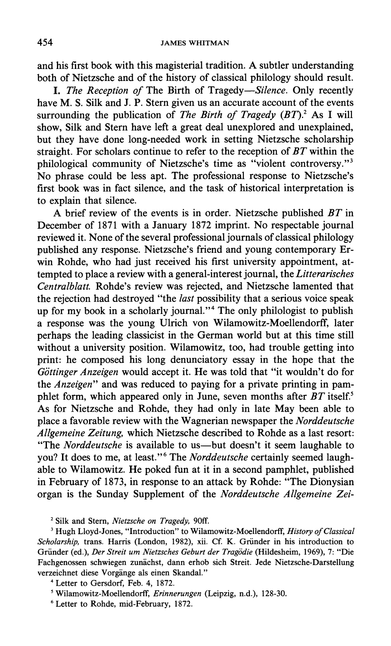**and his first book with this magisterial tradition. A subtler understanding both of Nietzsche and of the history of classical philology should result.** 

**I. The Reception of The Birth of Tragedy-Silence. Only recently have M. S. Silk and J. P. Stern given us an accurate account of the events**  surrounding the publication of *The Birth of Tragedy (BT)*.<sup>2</sup> As I will **show, Silk and Stern have left a great deal unexplored and unexplained, but they have done long-needed work in setting Nietzsche scholarship straight. For scholars continue to refer to the reception of BT within the philological community of Nietzsche's time as "violent controversy."3 No phrase could be less apt. The professional response to Nietzsche's first book was in fact silence, and the task of historical interpretation is to explain that silence.** 

**A brief review of the events is in order. Nietzsche published BT in December of 1871 with a January 1872 imprint. No respectable journal reviewed it. None of the several professional journals of classical philology published any response. Nietzsche's friend and young contemporary Erwin Rohde, who had just received his first university appointment, attempted to place a review with a general-interest journal, the Litterarisches Centralblatt. Rohde's review was rejected, and Nietzsche lamented that the rejection had destroyed "the last possibility that a serious voice speak up for my book in a scholarly journal."4 The only philologist to publish a response was the young Ulrich von Wilamowitz-Moellendorff, later perhaps the leading classicist in the German world but at this time still without a university position. Wilamowitz, too, had trouble getting into print: he composed his long denunciatory essay in the hope that the**  Göttinger Anzeigen would accept it. He was told that "it wouldn't do for **the Anzeigen" and was reduced to paying for a private printing in pamphlet form, which appeared only in June, seven months after BT itself.5 As for Nietzsche and Rohde, they had only in late May been able to place a favorable review with the Wagnerian newspaper the Norddeutsche Allgemeine Zeitung, which Nietzsche described to Rohde as a last resort: "The Norddeutsche is available to us-but doesn't it seem laughable to you? It does to me, at least."6 The Norddeutsche certainly seemed laughable to Wilamowitz. He poked fun at it in a second pamphlet, published in February of 1873, in response to an attack by Rohde: "The Dionysian organ is the Sunday Supplement of the Norddeutsche Allgemeine Zei-**

**<sup>3</sup>Hugh Lloyd-Jones, "Introduction" to Wilamowitz-Moellendorff, History of Classical Scholarship, trans. Harris (London, 1982), xii. Cf. K. Griinder in his introduction to Griinder (ed.), Der Streit um Nietzsches Geburt der Tragodie (Hildesheim, 1969), 7: "Die Fachgenossen schwiegen zunachst, dann erhob sich Streit. Jede Nietzsche-Darstellung verzeichnet diese Vorgange als einen Skandal."** 

**6 Letter to Rohde, mid-February, 1872.** 

**<sup>2</sup> Silk and Stern, Nietzsche on Tragedy, 90ff.** 

**<sup>4</sup>Letter to Gersdorf, Feb. 4, 1872.** 

**<sup>5</sup> Wilamowitz-Moellendorff, Erinnerungen (Leipzig, n.d.), 128-30.**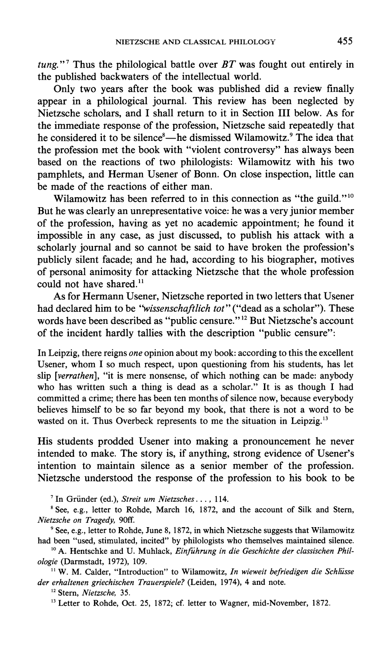**tung."7 Thus the philological battle over BT was fought out entirely in the published backwaters of the intellectual world.** 

**Only two years after the book was published did a review finally appear in a philological journal. This review has been neglected by Nietzsche scholars, and I shall return to it in Section III below. As for the immediate response of the profession, Nietzsche said repeatedly that he considered it to be silence8-he dismissed Wilamowitz.9 The idea that the profession met the book with "violent controversy" has always been based on the reactions of two philologists: Wilamowitz with his two pamphlets, and Herman Usener of Bonn. On close inspection, little can be made of the reactions of either man.** 

**Wilamowitz has been referred to in this connection as "the guild."'0 But he was clearly an unrepresentative voice: he was a very junior member of the profession, having as yet no academic appointment; he found it impossible in any case, as just discussed, to publish his attack with a scholarly journal and so cannot be said to have broken the profession's publicly silent facade; and he had, according to his biographer, motives of personal animosity for attacking Nietzsche that the whole profession**  could not have shared.<sup>11</sup>

**As for Hermann Usener, Nietzsche reported in two letters that Usener**  had declared him to be "wissenschaftlich tot" ("dead as a scholar"). These words have been described as "public censure."<sup>12</sup> But Nietzsche's account **of the incident hardly tallies with the description "public censure":** 

**In Leipzig, there reigns one opinion about my book: according to this the excellent Usener, whom I so much respect, upon questioning from his students, has let slip [verrathen], "it is mere nonsense, of which nothing can be made: anybody who has written such a thing is dead as a scholar." It is as though I had committed a crime; there has been ten months of silence now, because everybody believes himself to be so far beyond my book, that there is not a word to be wasted on it. Thus Overbeck represents to me the situation in Leipzig.'3** 

**His students prodded Usener into making a pronouncement he never intended to make. The story is, if anything, strong evidence of Usener's intention to maintain silence as a senior member of the profession. Nietzsche understood the response of the profession to his book to be** 

**<sup>7</sup>In Griinder (ed.), Streit um Nietzsches..., 114.** 

**<sup>8</sup>See, e.g., letter to Rohde, March 16, 1872, and the account of Silk and Stern, Nietzsche on Tragedy, 90ff.** 

**9 See, e.g., letter to Rohde, June 8, 1872, in which Nietzsche suggests that Wilamowitz had been "used, stimulated, incited" by philologists who themselves maintained silence.** 

<sup>10</sup> A. Hentschke and U. Muhlack, *Einführung in die Geschichte der classischen Phil***ologie (Darmstadt, 1972), 109.** 

<sup>11</sup> W. M. Calder, "Introduction" to Wilamowitz, In wieweit befriedigen die Schlüsse **der erhaltenen griechischen Trauerspiele? (Leiden, 1974), 4 and note.** 

**<sup>12</sup>Stem, Nietzsche, 35.** 

**13 Letter to Rohde, Oct. 25, 1872; cf. letter to Wagner, mid-November, 1872.**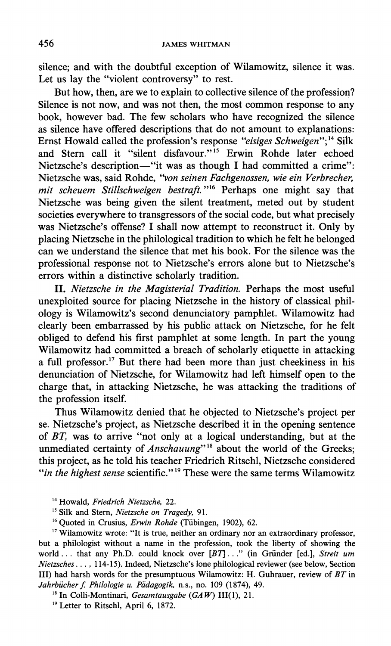**silence; and with the doubtful exception of Wilamowitz, silence it was. Let us lay the "violent controversy" to rest.** 

**But how, then, are we to explain to collective silence of the profession? Silence is not now, and was not then, the most common response to any book, however bad. The few scholars who have recognized the silence as silence have offered descriptions that do not amount to explanations:**  Ernst Howald called the profession's response "eisiges Schweigen";<sup>14</sup> Silk **and Stern call it "silent disfavour."15 Erwin Rohde later echoed**  Nietzsche's description-"it was as though I had committed a crime": **Nietzsche was, said Rohde, "von seinen Fachgenossen, wie ein Verbrecher, mit scheuem Stillschweigen bestraft."16 Perhaps one might say that Nietzsche was being given the silent treatment, meted out by student societies everywhere to transgressors of the social code, but what precisely was Nietzsche's offense? I shall now attempt to reconstruct it. Only by placing Nietzsche in the philological tradition to which he felt he belonged can we understand the silence that met his book. For the silence was the professional response not to Nietzsche's errors alone but to Nietzsche's errors within a distinctive scholarly tradition.** 

**II. Nietzsche in the Magisterial Tradition. Perhaps the most useful unexploited source for placing Nietzsche in the history of classical philology is Wilamowitz's second denunciatory pamphlet. Wilamowitz had clearly been embarrassed by his public attack on Nietzsche, for he felt obliged to defend his first pamphlet at some length. In part the young Wilamowitz had committed a breach of scholarly etiquette in attacking a full professor.17 But there had been more than just cheekiness in his denunciation of Nietzsche, for Wilamowitz had left himself open to the charge that, in attacking Nietzsche, he was attacking the traditions of the profession itself.** 

**Thus Wilamowitz denied that he objected to Nietzsche's project per se. Nietzsche's project, as Nietzsche described it in the opening sentence of BT, was to arrive "not only at a logical understanding, but at the**  unmediated certainty of *Anschauung*"<sup>18</sup> about the world of the Greeks; **this project, as he told his teacher Friedrich Ritschl, Nietzsche considered "in the highest sense scientific."19 These were the same terms Wilamowitz** 

**<sup>14</sup>Howald, Friedrich Nietzsche, 22.** 

**<sup>5</sup>Silk and Stern, Nietzsche on Tragedy, 91.** 

<sup>16</sup> Quoted in Crusius, *Erwin Rohde* (Tübingen, 1902), 62.

**<sup>17</sup>Wilamowitz wrote: "It is true, neither an ordinary nor an extraordinary professor, but a philologist without a name in the profession, took the liberty of showing the world... that any Ph.D. could knock over [BT]..." (in Griinder [ed.], Streit um Nietzsches..., 114-15). Indeed, Nietzsche's lone philological reviewer (see below, Section III) had harsh words for the presumptuous Wilamowitz: H. Guhrauer, review of BT in**  Jahrbücher f. Philologie u. Pädagogik, n.s., no. 109 (1874), 49.

**<sup>18</sup>In Colli-Montinari, Gesamtausgabe (GA W) III(1), 21.** 

**<sup>19</sup>Letter to Ritschl, April 6, 1872.**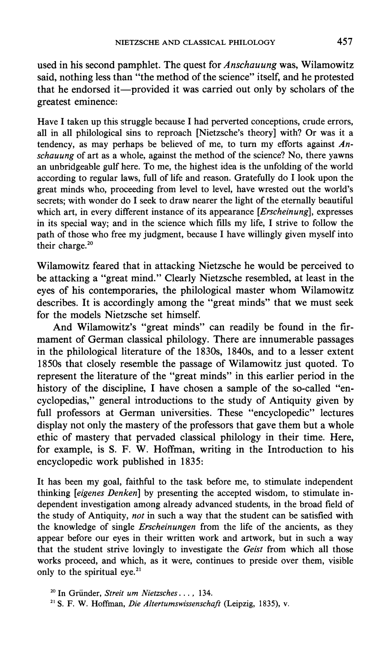**used in his second pamphlet. The quest for Anschauung was, Wilamowitz said, nothing less than "the method of the science" itself, and he protested that he endorsed it-provided it was carried out only by scholars of the greatest eminence:** 

**Have I taken up this struggle because I had perverted conceptions, crude errors, all in all philological sins to reproach [Nietzsche's theory] with? Or was it a tendency, as may perhaps be believed of me, to turn my efforts against Anschauung of art as a whole, against the method of the science? No, there yawns an unbridgeable gulf here. To me, the highest idea is the unfolding of the world according to regular laws, full of life and reason. Gratefully do I look upon the great minds who, proceeding from level to level, have wrested out the world's secrets; with wonder do I seek to draw nearer the light of the eternally beautiful which art, in every different instance of its appearance [Erscheinung], expresses in its special way; and in the science which fills my life, I strive to follow the path of those who free my judgment, because I have willingly given myself into their charge.20** 

**Wilamowitz feared that in attacking Nietzsche he would be perceived to be attacking a "great mind." Clearly Nietzsche resembled, at least in the eyes of his contemporaries, the philological master whom Wilamowitz describes. It is accordingly among the "great minds" that we must seek for the models Nietzsche set himself.** 

**And Wilamowitz's "great minds" can readily be found in the firmament of German classical philology. There are innumerable passages in the philological literature of the 1830s, 1840s, and to a lesser extent 1850s that closely resemble the passage of Wilamowitz just quoted. To represent the literature of the "great minds" in this earlier period in the history of the discipline, I have chosen a sample of the so-called "encyclopedias," general introductions to the study of Antiquity given by full professors at German universities. These "encyclopedic" lectures display not only the mastery of the professors that gave them but a whole ethic of mastery that pervaded classical philology in their time. Here, for example, is S. F. W. Hoffman, writing in the Introduction to his encyclopedic work published in 1835:** 

**It has been my goal, faithful to the task before me, to stimulate independent thinking [eigenes Denken] by presenting the accepted wisdom, to stimulate independent investigation among already advanced students, in the broad field of the study of Antiquity, not in such a way that the student can be satisfied with the knowledge of single Erscheinungen from the life of the ancients, as they appear before our eyes in their written work and artwork, but in such a way that the student strive lovingly to investigate the Geist from which all those works proceed, and which, as it were, continues to preside over them, visible only to the spiritual eye.21** 

**<sup>20</sup>In Griinder, Streit um Nietzsches ..., 134. 21 S. F. W. Hoffman, Die Altertumswissenschaft (Leipzig, 1835), v.**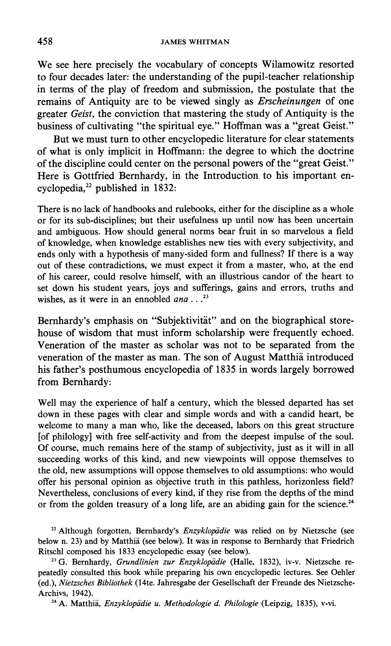**We see here precisely the vocabulary of concepts Wilamowitz resorted to four decades later: the understanding of the pupil-teacher relationship in terms of the play of freedom and submission, the postulate that the remains of Antiquity are to be viewed singly as Erscheinungen of one greater Geist, the conviction that mastering the study of Antiquity is the business of cultivating "the spiritual eye." Hoffman was a "great Geist."** 

**But we must turn to other encyclopedic literature for clear statements of what is only implicit in Hoffmann: the degree to which the doctrine of the discipline could center on the personal powers of the "great Geist." Here is Gottfried Bernhardy, in the Introduction to his important encyclopedia,22 published in 1832:** 

**There is no lack of handbooks and rulebooks, either for the discipline as a whole or for its sub-disciplines; but their usefulness up until now has been uncertain and ambiguous. How should general norms bear fruit in so marvelous a field of knowledge, when knowledge establishes new ties with every subjectivity, and ends only with a hypothesis of many-sided form and fullness? If there is a way out of these contradictions, we must expect it from a master, who, at the end of his career, could resolve himself, with an illustrious candor of the heart to set down his student years, joys and sufferings, gains and errors, truths and**  wishes, as it were in an ennobled *ana* ...<sup>23</sup>

Bernhardy's emphasis on "Subjektivität" and on the biographical store**house of wisdom that must inform scholarship were frequently echoed. Veneration of the master as scholar was not to be separated from the veneration of the master as man. The son of August Matthia introduced his father's posthumous encyclopedia of 1835 in words largely borrowed from Bernhardy:** 

**Well may the experience of half a century, which the blessed departed has set down in these pages with clear and simple words and with a candid heart, be welcome to many a man who, like the deceased, labors on this great structure [of philology] with free self-activity and from the deepest impulse of the soul. Of course, much remains here of the stamp of subjectivity, just as it will in all succeeding works of this kind, and new viewpoints will oppose themselves to the old, new assumptions will oppose themselves to old assumptions: who would offer his personal opinion as objective truth in this pathless, horizonless field? Nevertheless, conclusions of every kind, if they rise from the depths of the mind**  or from the golden treasury of a long life, are an abiding gain for the science.<sup>24</sup>

<sup>22</sup> Although forgotten, Bernhardy's *Enzyklopädie* was relied on by Nietzsche (see **below n. 23) and by Matthia (see below). It was in response to Bernhardy that Friedrich Ritschl composed his 1833 encyclopedic essay (see below).** 

<sup>23</sup> G. Bernhardy, Grundlinien zur Enzyklopädie (Halle, 1832), iv-v. Nietzsche re**peatedly consulted this book while preparing his own encyclopedic lectures. See Oehler (ed.), Nietzsches Bibliothek (14te. Jahresgabe der Gesellschaft der Freunde des Nietzsche-Archivs, 1942).** 

<sup>24</sup> A. Matthiä, *Enzyklopädie u. Methodologie d. Philologie* (Leipzig, 1835), v-vi.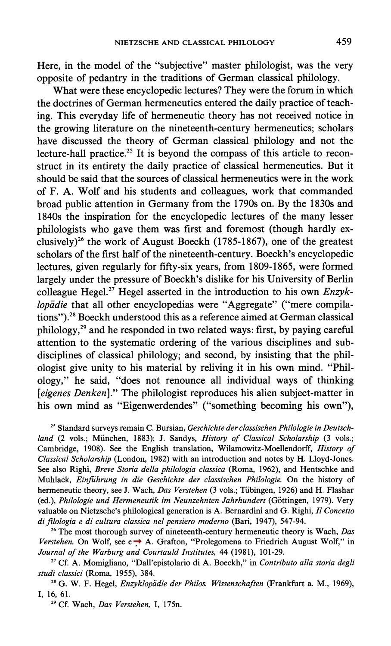**Here, in the model of the "subjective" master philologist, was the very opposite of pedantry in the traditions of German classical philology.** 

**What were these encyclopedic lectures? They were the forum in which the doctrines of German hermeneutics entered the daily practice of teaching. This everyday life of hermeneutic theory has not received notice in the growing literature on the nineteenth-century hermeneutics; scholars have discussed the theory of German classical philology and not the lecture-hall practice.25 It is beyond the compass of this article to reconstruct in its entirety the daily practice of classical hermeneutics. But it should be said that the sources of classical hermeneutics were in the work of F. A. Wolf and his students and colleagues, work that commanded broad public attention in Germany from the 1790s on. By the 1830s and 1840s the inspiration for the encyclopedic lectures of the many lesser philologists who gave them was first and foremost (though hardly exclusively)26 the work of August Boeckh (1785-1867), one of the greatest scholars of the first half of the nineteenth-century. Boeckh's encyclopedic lectures, given regularly for fifty-six years, from 1809-1865, were formed largely under the pressure of Boeckh's dislike for his University of Berlin colleague Hegel.27 Hegel asserted in the introduction to his own Enzyk**lopädie that all other encyclopedias were "Aggregate" ("mere compila**tions").28 Boeckh understood this as a reference aimed at German classical philology,29 and he responded in two related ways: first, by paying careful attention to the systematic ordering of the various disciplines and subdisciplines of classical philology; and second, by insisting that the philologist give unity to his material by reliving it in his own mind. "Philology," he said, "does not renounce all individual ways of thinking [eigenes Denken]." The philologist reproduces his alien subject-matter in his own mind as "Eigenwerdendes" ("something becoming his own"),** 

**<sup>25</sup>Standard surveys remain C. Bursian, Geschichte der classischen Philologie in Deutschland (2 vols.; Miinchen, 1883); J. Sandys, History of Classical Scholarship (3 vols.; Cambridge, 1908). See the English translation, Wilamowitz-Moellendorff, History of Classical Scholarship (London, 1982) with an introduction and notes by H. Lloyd-Jones. See also Righi, Breve Storia della philologia classica (Roma, 1962), and Hentschke and Muhlack, Einfihrung in die Geschichte der classischen Philologie. On the history of hermeneutic theory, see J. Wach, Das Verstehen (3 vols.; Tiibingen, 1926) and H. Flashar**  (ed.), Philologie und Hermeneutik im Neunzehnten Jahrhundert (Göttingen, 1979). Very **valuable on Nietzsche's philological generation is A. Bernardini and G. Righi, II Concetto di filologia e di cultura classica nel pensiero moderno (Bari, 1947), 547-94.** 

**<sup>26</sup>The most thorough survey of nineteenth-century hermeneutic theory is Wach, Das**  *Verstehen.* On Wolf, see  $e \rightarrow A$ . Grafton, "Prolegomena to Friedrich August Wolf," in **Journal of the Warburg and Courtauld Institutes, 44 (1981), 101-29.** 

**<sup>27</sup>Cf. A. Momigliano, "Dall'epistolario di A. Boeckh," in Contributo alla storia degli studi classici (Roma, 1955), 384.** 

<sup>28</sup> G. W. F. Hegel, *Enzyklopädie der Philos. Wissenschaften* (Frankfurt a. M., 1969), **I, 16, 61.** 

**<sup>29</sup>Cf. Wach, Das Verstehen, I, 175n.**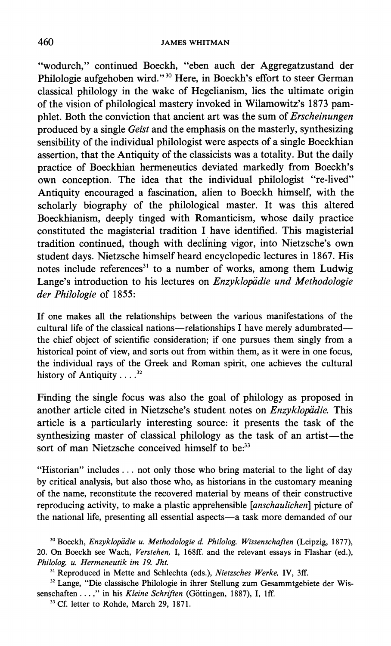**"wodurch," continued Boeckh, "eben auch der Aggregatzustand der Philologie aufgehoben wird."30 Here, in Boeckh's effort to steer German classical philology in the wake of Hegelianism, lies the ultimate origin of the vision of philological mastery invoked in Wilamowitz's 1873 pamphlet. Both the conviction that ancient art was the sum of Erscheinungen produced by a single Geist and the emphasis on the masterly, synthesizing sensibility of the individual philologist were aspects of a single Boeckhian assertion, that the Antiquity of the classicists was a totality. But the daily practice of Boeckhian hermeneutics deviated markedly from Boeckh's own conception. The idea that the individual philologist "re-lived" Antiquity encouraged a fascination, alien to Boeckh himself, with the scholarly biography of the philological master. It was this altered Boeckhianism, deeply tinged with Romanticism, whose daily practice constituted the magisterial tradition I have identified. This magisterial tradition continued, though with declining vigor, into Nietzsche's own student days. Nietzsche himself heard encyclopedic lectures in 1867. His**  notes include references<sup>31</sup> to a number of works, among them Ludwig Lange's introduction to his lectures on *Enzyklopädie und Methodologie* **der Philologie of 1855:** 

**If one makes all the relationships between the various manifestations of the cultural life of the classical nations-relationships I have merely adumbratedthe chief object of scientific consideration; if one pursues them singly from a historical point of view, and sorts out from within them, as it were in one focus, the individual rays of the Greek and Roman spirit, one achieves the cultural history of Antiquity .... 32** 

**Finding the single focus was also the goal of philology as proposed in**  another article cited in Nietzsche's student notes on *Enzyklopädie*. This **article is a particularly interesting source: it presents the task of the**  synthesizing master of classical philology as the task of an artist-the **sort of man Nietzsche conceived himself to be:33** 

**"Historian" includes ... not only those who bring material to the light of day by critical analysis, but also those who, as historians in the customary meaning of the name, reconstitute the recovered material by means of their constructive reproducing activity, to make a plastic apprehensible [anschaulichen] picture of**  the national life, presenting all essential aspects-a task more demanded of our

**33 Cf. letter to Rohde, March 29, 1871.** 

<sup>&</sup>lt;sup>30</sup> Boeckh, *Enzyklopädie u. Methodologie d. Philolog. Wissenschaften* (Leipzig, 1877), **20. On Boeckh see Wach, Verstehen, I, 168ff. and the relevant essays in Flashar (ed.), Philolog. u. Hermeneutik im 19. Jht.** 

**<sup>31</sup>Reproduced in Mette and Schlechta (eds.), Nietzsches Werke, IV, 3ff.** 

**<sup>32</sup> Lange, "Die classische Philologie in ihrer Stellung zum Gesammtgebiete der Wis**senschaften . . .," in his *Kleine Schriften* (Göttingen, 1887), I, 1ff.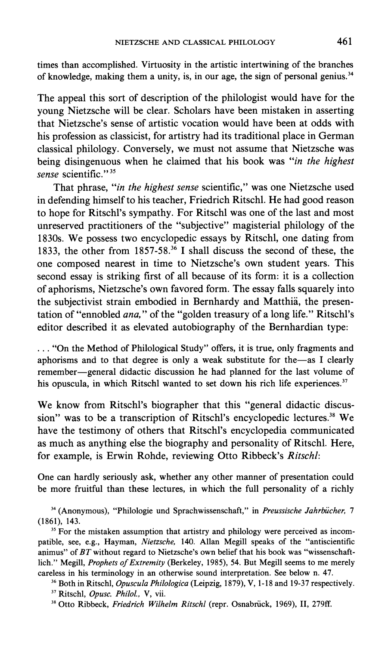**times than accomplished. Virtuosity in the artistic intertwining of the branches of knowledge, making them a unity, is, in our age, the sign of personal genius.34** 

**The appeal this sort of description of the philologist would have for the young Nietzsche will be clear. Scholars have been mistaken in asserting that Nietzsche's sense of artistic vocation would have been at odds with his profession as classicist, for artistry had its traditional place in German classical philology. Conversely, we must not assume that Nietzsche was being disingenuous when he claimed that his book was "in the highest sense scientific."35** 

**That phrase, "in the highest sense scientific," was one Nietzsche used in defending himself to his teacher, Friedrich Ritschl. He had good reason to hope for Ritschl's sympathy. For Ritschl was one of the last and most unreserved practitioners of the "subjective" magisterial philology of the 1830s. We possess two encyclopedic essays by Ritschl, one dating from 1833, the other from 1857-58.36 I shall discuss the second of these, the one composed nearest in time to Nietzsche's own student years. This second essay is striking first of all because of its form: it is a collection of aphorisms, Nietzsche's own favored form. The essay falls squarely into the subjectivist strain embodied in Bernhardy and Matthia, the presentation of "ennobled ana," of the "golden treasury of a long life." Ritschl's editor described it as elevated autobiography of the Bernhardian type:** 

**... "On the Method of Philological Study" offers, it is true, only fragments and aphorisms and to that degree is only a weak substitute for the-as I clearly remember-general didactic discussion he had planned for the last volume of his opuscula, in which Ritschl wanted to set down his rich life experiences.37** 

**We know from Ritschl's biographer that this "general didactic discussion" was to be a transcription of Ritschl's encyclopedic lectures.38 We have the testimony of others that Ritschl's encyclopedia communicated as much as anything else the biography and personality of Ritschl. Here, for example, is Erwin Rohde, reviewing Otto Ribbeck's Ritschl:** 

**One can hardly seriously ask, whether any other manner of presentation could be more fruitful than these lectures, in which the full personality of a richly** 

**<sup>34</sup>(Anonymous), "Philologie und Sprachwissenschaft," in Preussische Jahrbicher, 7 (1861), 143.** 

**35 For the mistaken assumption that artistry and philology were perceived as incompatible, see, e.g., Hayman, Nietzsche, 140. Allan Megill speaks of the "antiscientific animus" of BT without regard to Nietzsche's own belief that his book was "wissenschaftlich." Megill, Prophets of Extremity (Berkeley, 1985), 54. But Megill seems to me merely careless in his terminology in an otherwise sound interpretation. See below n. 47.** 

**<sup>36</sup>Both in Ritschl, Opuscula Philologica (Leipzig, 1879), V, 1-18 and 19-37 respectively. <sup>37</sup>Ritschl, Opusc. Philol., V, vii.** 

**38 Otto Ribbeck, Friedrich Wilhelm Ritschl (repr. Osnabriick, 1969), II, 279ff.**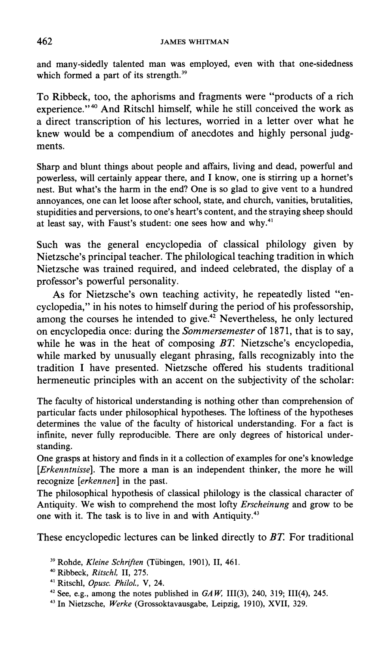**and many-sidedly talented man was employed, even with that one-sidedness which formed a part of its strength.39** 

**To Ribbeck, too, the aphorisms and fragments were "products of a rich experience."40 And Ritschl himself, while he still conceived the work as a direct transcription of his lectures, worried in a letter over what he knew would be a compendium of anecdotes and highly personal judgments.** 

**Sharp and blunt things about people and affairs, living and dead, powerful and powerless, will certainly appear there, and I know, one is stirring up a hornet's nest. But what's the harm in the end? One is so glad to give vent to a hundred annoyances, one can let loose after school, state, and church, vanities, brutalities, stupidities and perversions, to one's heart's content, and the straying sheep should at least say, with Faust's student: one sees how and why.41** 

**Such was the general encyclopedia of classical philology given by Nietzsche's principal teacher. The philological teaching tradition in which Nietzsche was trained required, and indeed celebrated, the display of a professor's powerful personality.** 

**As for Nietzsche's own teaching activity, he repeatedly listed "encyclopedia," in his notes to himself during the period of his professorship, among the courses he intended to give.42 Nevertheless, he only lectured on encyclopedia once: during the Sommersemester of 1871, that is to say, while he was in the heat of composing BT. Nietzsche's encyclopedia, while marked by unusually elegant phrasing, falls recognizably into the tradition I have presented. Nietzsche offered his students traditional hermeneutic principles with an accent on the subjectivity of the scholar:** 

**The faculty of historical understanding is nothing other than comprehension of particular facts under philosophical hypotheses. The loftiness of the hypotheses determines the value of the faculty of historical understanding. For a fact is infinite, never fully reproducible. There are only degrees of historical understanding.** 

**One grasps at history and finds in it a collection of examples for one's knowledge [Erkenntnisse]. The more a man is an independent thinker, the more he will recognize [erkennen] in the past.** 

**The philosophical hypothesis of classical philology is the classical character of Antiquity. We wish to comprehend the most lofty Erscheinung and grow to be one with it. The task is to live in and with Antiquity.43** 

**These encyclopedic lectures can be linked directly to BT. For traditional** 

- **<sup>39</sup>Rohde, Kleine Schriften (Tiibingen, 1901), II, 461.**
- **<sup>40</sup>Ribbeck, Ritschl, II, 275.**
- **<sup>41</sup>Ritschl, Opusc. Philol., V, 24.**
- <sup>42</sup> See, e.g., among the notes published in  $GAW$ , III(3), 240, 319; III(4), 245.
- **43 In Nietzsche, Werke (Grossoktavausgabe, Leipzig, 1910), XVII, 329.**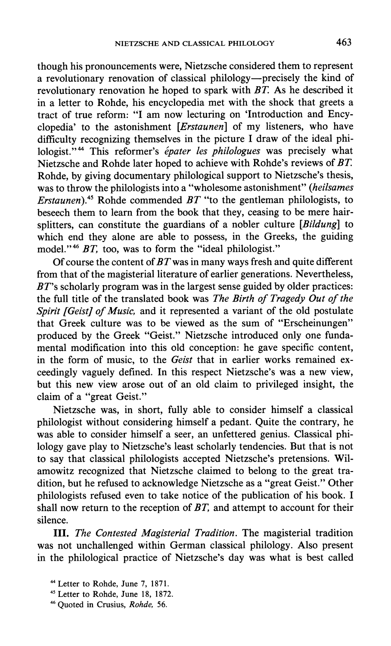**though his pronouncements were, Nietzsche considered them to represent a revolutionary renovation of classical philology-precisely the kind of revolutionary renovation he hoped to spark with BT As he described it in a letter to Rohde, his encyclopedia met with the shock that greets a tract of true reform: "I am now lecturing on 'Introduction and Encyclopedia' to the astonishment [Erstaunen] of my listeners, who have difficulty recognizing themselves in the picture I draw of the ideal philologist."44 This reformer's epater les philologues was precisely what Nietzsche and Rohde later hoped to achieve with Rohde's reviews of BT Rohde, by giving documentary philological support to Nietzsche's thesis, was to throw the philologists into a "wholesome astonishment" (heilsames Erstaunen).45 Rohde commended BT "to the gentleman philologists, to beseech them to learn from the book that they, ceasing to be mere hairsplitters, can constitute the guardians of a nobler culture [Bildung] to which end they alone are able to possess, in the Greeks, the guiding model."46 BT, too, was to form the "ideal philologist."** 

**Of course the content of BTwas in many ways fresh and quite different from that of the magisterial literature of earlier generations. Nevertheless, BT's scholarly program was in the largest sense guided by older practices: the full title of the translated book was The Birth of Tragedy Out of the Spirit [Geist] of Music, and it represented a variant of the old postulate that Greek culture was to be viewed as the sum of "Erscheinungen" produced by the Greek "Geist." Nietzsche introduced only one fundamental modification into this old conception: he gave specific content, in the form of music, to the Geist that in earlier works remained exceedingly vaguely defined. In this respect Nietzsche's was a new view, but this new view arose out of an old claim to privileged insight, the claim of a "great Geist."** 

**Nietzsche was, in short, fully able to consider himself a classical philologist without considering himself a pedant. Quite the contrary, he was able to consider himself a seer, an unfettered genius. Classical philology gave play to Nietzsche's least scholarly tendencies. But that is not to say that classical philologists accepted Nietzsche's pretensions. Wilamowitz recognized that Nietzsche claimed to belong to the great tradition, but he refused to acknowledge Nietzsche as a "great Geist." Other philologists refused even to take notice of the publication of his book. I shall now return to the reception of BT, and attempt to account for their silence.** 

**III. The Contested Magisterial Tradition. The magisterial tradition was not unchallenged within German classical philology. Also present in the philological practice of Nietzsche's day was what is best called** 

**<sup>44</sup>Letter to Rohde, June 7, 1871.** 

**<sup>45</sup>Letter to Rohde, June 18, 1872.** 

**<sup>46</sup> Quoted in Crusius, Rohde, 56.**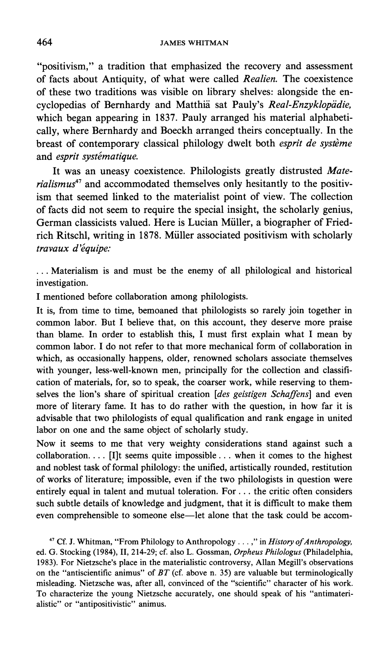**"positivism," a tradition that emphasized the recovery and assessment of facts about Antiquity, of what were called Realien. The coexistence of these two traditions was visible on library shelves: alongside the en**cyclopedias of Bernhardy and Matthiä sat Pauly's Real-Enzyklopädie, **which began appearing in 1837. Pauly arranged his material alphabetically, where Bernhardy and Boeckh arranged theirs conceptually. In the breast of contemporary classical philology dwelt both esprit de systeme**  and esprit systématique.

**It was an uneasy coexistence. Philologists greatly distrusted Mate**rialismus<sup>47</sup> and accommodated themselves only hesitantly to the positiv**ism that seemed linked to the materialist point of view. The collection of facts did not seem to require the special insight, the scholarly genius, German classicists valued. Here is Lucian Miller, a biographer of Friedrich Ritschl, writing in 1878. Miller associated positivism with scholarly travaux d'equipe:** 

**... Materialism is and must be the enemy of all philological and historical investigation.** 

**I mentioned before collaboration among philologists.** 

**It is, from time to time, bemoaned that philologists so rarely join together in common labor. But I believe that, on this account, they deserve more praise than blame. In order to establish this, I must first explain what I mean by common labor. I do not refer to that more mechanical form of collaboration in which, as occasionally happens, older, renowned scholars associate themselves with younger, less-well-known men, principally for the collection and classification of materials, for, so to speak, the coarser work, while reserving to themselves the lion's share of spiritual creation [des geistigen Schaffens] and even more of literary fame. It has to do rather with the question, in how far it is advisable that two philologists of equal qualification and rank engage in united labor on one and the same object of scholarly study.** 

**Now it seems to me that very weighty considerations stand against such a collaboration.... [I]t seems quite impossible... when it comes to the highest and noblest task of formal philology: the unified, artistically rounded, restitution of works of literature; impossible, even if the two philologists in question were entirely equal in talent and mutual toleration. For ... the critic often considers such subtle details of knowledge and judgment, that it is difficult to make them**  even comprehensible to someone else-let alone that the task could be accom-

<sup>47</sup> Cf. J. Whitman, "From Philology to Anthropology . . . ," in *History of Anthropology*, **ed. G. Stocking (1984), II, 214-29; cf. also L. Gossman, Orpheus Philologus (Philadelphia, 1983). For Nietzsche's place in the materialistic controversy, Allan Megill's observations on the "antiscientific animus" of BT (cf. above n. 35) are valuable but terminologically misleading. Nietzsche was, after all, convinced of the "scientific" character of his work. To characterize the young Nietzsche accurately, one should speak of his "antimaterialistic" or "antipositivistic" animus.**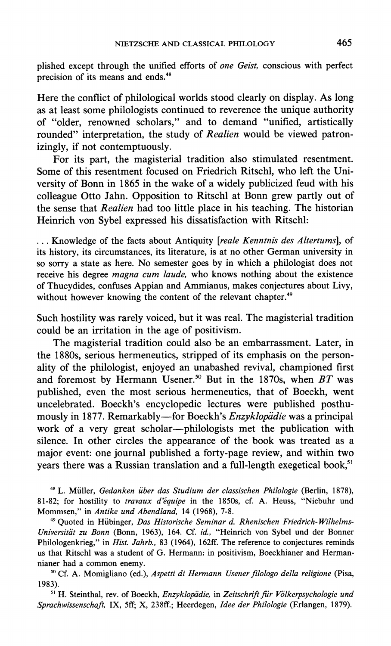**plished except through the unified efforts of one Geist, conscious with perfect precision of its means and ends.48** 

**Here the conflict of philological worlds stood clearly on display. As long as at least some philologists continued to reverence the unique authority of "older, renowned scholars," and to demand "unified, artistically rounded" interpretation, the study of Realien would be viewed patronizingly, if not contemptuously.** 

**For its part, the magisterial tradition also stimulated resentment. Some of this resentment focused on Friedrich Ritschl, who left the University of Bonn in 1865 in the wake of a widely publicized feud with his colleague Otto Jahn. Opposition to Ritschl at Bonn grew partly out of the sense that Realien had too little place in his teaching. The historian Heinrich von Sybel expressed his dissatisfaction with Ritschl:** 

**... Knowledge of the facts about Antiquity [reale Kenntnis des Altertums], of its history, its circumstances, its literature, is at no other German university in so sorry a state as here. No semester goes by in which a philologist does not receive his degree magna cum laude, who knows nothing about the existence of Thucydides, confuses Appian and Ammianus, makes conjectures about Livy, without however knowing the content of the relevant chapter.49** 

**Such hostility was rarely voiced, but it was real. The magisterial tradition could be an irritation in the age of positivism.** 

**The magisterial tradition could also be an embarrassment. Later, in the 1880s, serious hermeneutics, stripped of its emphasis on the personality of the philologist, enjoyed an unabashed revival, championed first and foremost by Hermann Usener.50 But in the 1870s, when BT was published, even the most serious hermeneutics, that of Boeckh, went uncelebrated. Boeckh's encyclopedic lectures were published posthumously in 1877. Remarkably-for Boeckh's Enzyklopidie was a principal work of a very great scholar-philologists met the publication with silence. In other circles the appearance of the book was treated as a major event: one journal published a forty-page review, and within two**  years there was a Russian translation and a full-length exegetical book,<sup>51</sup>

**<sup>48</sup>L. Muller, Gedanken iber das Studium der classischen Philologie (Berlin, 1878), 81-82; for hostility to travaux d'equipe in the 1850s, cf. A. Heuss, "Niebuhr und Mommsen," in Antike und Abendland, 14 (1968), 7-8.** 

**49 Quoted in Hiibinger, Das Historische Seminar d. Rhenischen Friedrich- Wilhelms-**Universität zu Bonn (Bonn, 1963), 164. Cf. id., "Heinrich von Sybel und der Bonner **Philologenkrieg," in Hist. Jahrb., 83 (1964), 162ff. The reference to conjectures reminds us that Ritschl was a student of G. Hermann: in positivism, Boeckhianer and Hermannianer had a common enemy.** 

**50 Cf. A. Momigliano (ed.), Aspetti di Hermann Usener filologo della religione (Pisa, 1983).** 

<sup>51</sup> H. Steinthal, rev. of Boeckh, *Enzyklopädie*, in Zeitschrift für Völkerpsychologie und **Sprachwissenschaft, IX, 5ff; X, 238ff.; Heerdegen, Idee der Philologie (Erlangen, 1879).**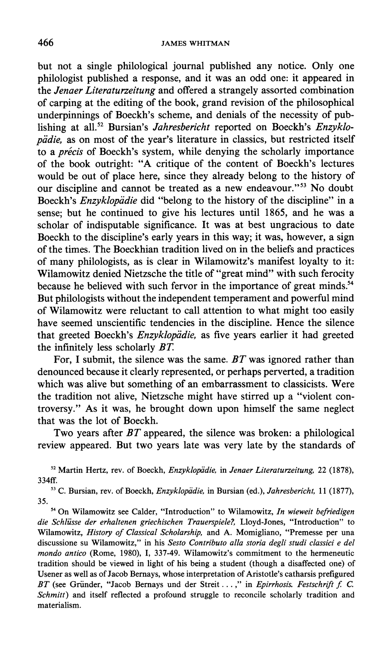## **466 JAMES WHITMAN**

**but not a single philological journal published any notice. Only one philologist published a response, and it was an odd one: it appeared in the Jenaer Literaturzeitung and offered a strangely assorted combination of carping at the editing of the book, grand revision of the philosophical underpinnings of Boeckh's scheme, and denials of the necessity of pub**lishing at all.<sup>52</sup> Bursian's *Jahresbericht* reported on Boeckh's *Enzyklo*pädie, as on most of the year's literature in classics, but restricted itself to a *précis* of Boeckh's system, while denying the scholarly importance **of the book outright: "A critique of the content of Boeckh's lectures would be out of place here, since they already belong to the history of our discipline and cannot be treated as a new endeavour."53 No doubt Boeckh's Enzyklopidie did "belong to the history of the discipline" in a sense; but he continued to give his lectures until 1865, and he was a scholar of indisputable significance. It was at best ungracious to date Boeckh to the discipline's early years in this way; it was, however, a sign of the times. The Boeckhian tradition lived on in the beliefs and practices of many philologists, as is clear in Wilamowitz's manifest loyalty to it: Wilamowitz denied Nietzsche the title of "great mind" with such ferocity because he believed with such fervor in the importance of great minds.54 But philologists without the independent temperament and powerful mind of Wilamowitz were reluctant to call attention to what might too easily have seemed unscientific tendencies in the discipline. Hence the silence**  that greeted Boeckh's *Enzyklopädie*, as five years earlier it had greeted **the infinitely less scholarly BT.** 

**For, I submit, the silence was the same. BT was ignored rather than denounced because it clearly represented, or perhaps perverted, a tradition which was alive but something of an embarrassment to classicists. Were the tradition not alive, Nietzsche might have stirred up a "violent controversy." As it was, he brought down upon himself the same neglect that was the lot of Boeckh.** 

**Two years after BT appeared, the silence was broken: a philological review appeared. But two years late was very late by the standards of** 

<sup>52</sup> Martin Hertz, rev. of Boeckh, *Enzyklopädie*, in Jenaer Literaturzeitung, 22 (1878), **334ff.** 

<sup>53</sup> C. Bursian, rev. of Boeckh, *Enzyklopädie*, in Bursian (ed.), *Jahresbericht*, 11 (1877), **35.** 

**54 On Wilamowitz see Calder, "Introduction" to Wilamowitz, In wieweit befriedigen die Schliisse der erhaltenen griechischen Trauerspiele?, Lloyd-Jones, "Introduction" to Wilamowitz, History of Classical Scholarship, and A. Momigliano, "Premesse per una discussione su Wilamowitz," in his Sesto Contributo alla storia degli studi classici e del mondo antico (Rome, 1980), I, 337-49. Wilamowitz's commitment to the hermeneutic tradition should be viewed in light of his being a student (though a disaffected one) of Usener as well as of Jacob Bernays, whose interpretation of Aristotle's catharsis prefigured**  BT (see Gründer, "Jacob Bernays und der Streit...," in *Epirrhosis. Festschrift f. C.* **Schmitt) and itself reflected a profound struggle to reconcile scholarly tradition and materialism.**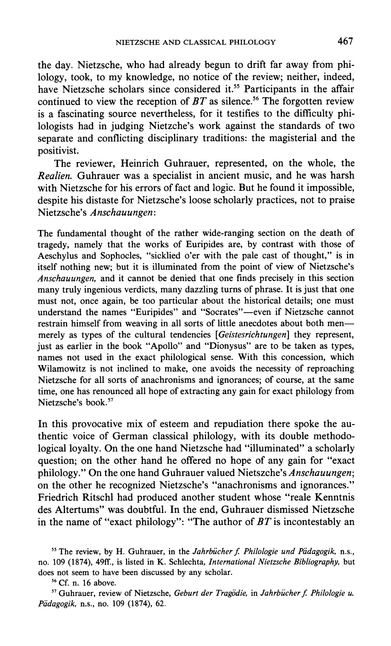**the day. Nietzsche, who had already begun to drift far away from philology, took, to my knowledge, no notice of the review; neither, indeed, have Nietzsche scholars since considered it.55 Participants in the affair**  continued to view the reception of  $BT$  as silence.<sup>56</sup> The forgotten review **is a fascinating source nevertheless, for it testifies to the difficulty philologists had in judging Nietzche's work against the standards of two separate and conflicting disciplinary traditions: the magisterial and the positivist.** 

**The reviewer, Heinrich Guhrauer, represented, on the whole, the Realien. Guhrauer was a specialist in ancient music, and he was harsh with Nietzsche for his errors of fact and logic. But he found it impossible, despite his distaste for Nietzsche's loose scholarly practices, not to praise Nietzsche's Anschauungen:** 

**The fundamental thought of the rather wide-ranging section on the death of tragedy, namely that the works of Euripides are, by contrast with those of Aeschylus and Sophocles, "sicklied o'er with the pale cast of thought," is in itself nothing new; but it is illuminated from the point of view of Nietzsche's Anschauungen, and it cannot be denied that one finds precisely in this section many truly ingenious verdicts, many dazzling turns of phrase. It is just that one must not, once again, be too particular about the historical details; one must understand the names "Euripides" and "Socrates"-even if Nietzsche cannot**  restrain himself from weaving in all sorts of little anecdotes about both men **merely as types of the cultural tendencies [Geistesrichtungen] they represent, just as earlier in the book "Apollo" and "Dionysus" are to be taken as types, names not used in the exact philological sense. With this concession, which Wilamowitz is not inclined to make, one avoids the necessity of reproaching Nietzsche for all sorts of anachronisms and ignorances; of course, at the same time, one has renounced all hope of extracting any gain for exact philology from Nietzsche's book.57** 

**In this provocative mix of esteem and repudiation there spoke the authentic voice of German classical philology, with its double methodological loyalty. On the one hand Nietzsche had "illuminated" a scholarly question; on the other hand he offered no hope of any gain for "exact philology." On the one hand Guhrauer valued Nietszche's Anschauungen; on the other he recognized Nietzsche's "anachronisms and ignorances." Friedrich Ritschl had produced another student whose "reale Kenntnis des Altertums" was doubtful. In the end, Guhrauer dismissed Nietzsche in the name of "exact philology": "The author of BT is incontestably an** 

 $55$  The review, by H. Guhrauer, in the *Jahrbücher f. Philologie und Pädagogik*, n.s., **no. 109 (1874), 49ff., is listed in K. Schlechta, International Nietzsche Bibliography, but does not seem to have been discussed by any scholar.** 

**<sup>56</sup>Cf. n. 16 above.** 

<sup>57</sup> Guhrauer, review of Nietzsche, Geburt der Tragödie, in Jahrbücher f. Philologie u. **Padagogik, n.s., no. 109 (1874), 62.**